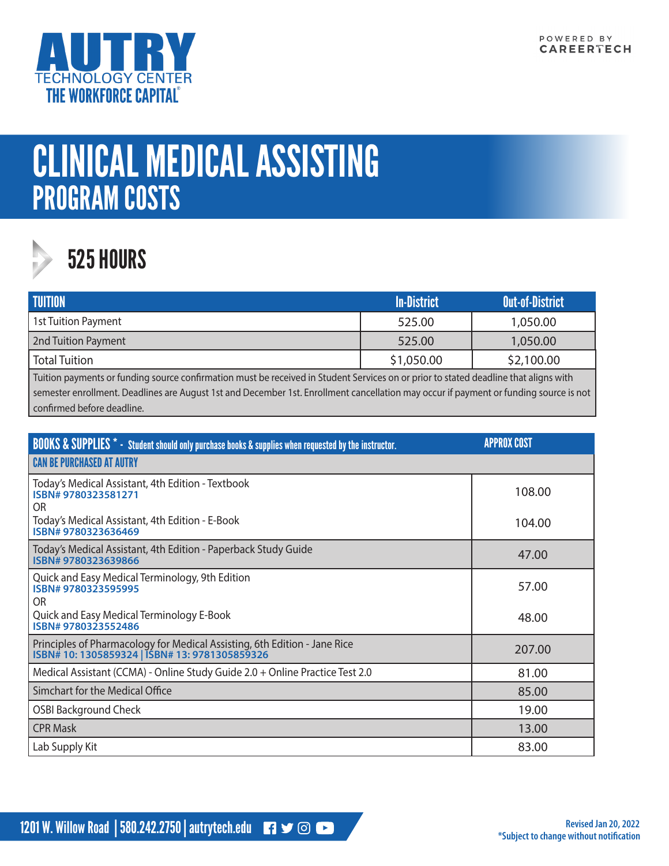

# CLINICAL MEDICAL ASSISTING PROGRAM COSTS



## 525 HOURS

| <b>TUITION</b>      | <b>In-District</b> | <b>Out-of-District</b> |
|---------------------|--------------------|------------------------|
| 1st Tuition Payment | 525.00             | 1,050.00               |
| 2nd Tuition Payment | 525.00             | 1,050.00               |
| Total Tuition       | \$1,050.00         | \$2,100.00             |
|                     |                    |                        |

Tuition payments or funding source confirmation must be received in Student Services on or prior to stated deadline that aligns with semester enrollment. Deadlines are August 1st and December 1st. Enrollment cancellation may occur if payment or funding source is not confirmed before deadline.

| <b>BOOKS &amp; SUPPLIES</b> * - Student should only purchase books & supplies when requested by the instructor.             | <b>APPROX COST</b> |
|-----------------------------------------------------------------------------------------------------------------------------|--------------------|
| <b>CAN BE PURCHASED AT AUTRY</b>                                                                                            |                    |
| Today's Medical Assistant, 4th Edition - Textbook<br>ISBN#9780323581271<br>OR.                                              | 108.00             |
| Today's Medical Assistant, 4th Edition - E-Book<br>ISBN#9780323636469                                                       | 104.00             |
| Today's Medical Assistant, 4th Edition - Paperback Study Guide<br>ISBN#9780323639866                                        | 47.00              |
| Quick and Easy Medical Terminology, 9th Edition<br>ISBN#9780323595995<br>OR                                                 | 57.00              |
| Quick and Easy Medical Terminology E-Book<br>ISBN#9780323552486                                                             | 48.00              |
| Principles of Pharmacology for Medical Assisting, 6th Edition - Jane Rice<br>ISBN# 10: 1305859324   ISBN# 13: 9781305859326 | 207.00             |
| Medical Assistant (CCMA) - Online Study Guide 2.0 + Online Practice Test 2.0                                                | 81.00              |
| Simchart for the Medical Office                                                                                             | 85.00              |
| <b>OSBI Background Check</b>                                                                                                | 19.00              |
| <b>CPR Mask</b>                                                                                                             | 13.00              |
| Lab Supply Kit                                                                                                              | 83.00              |